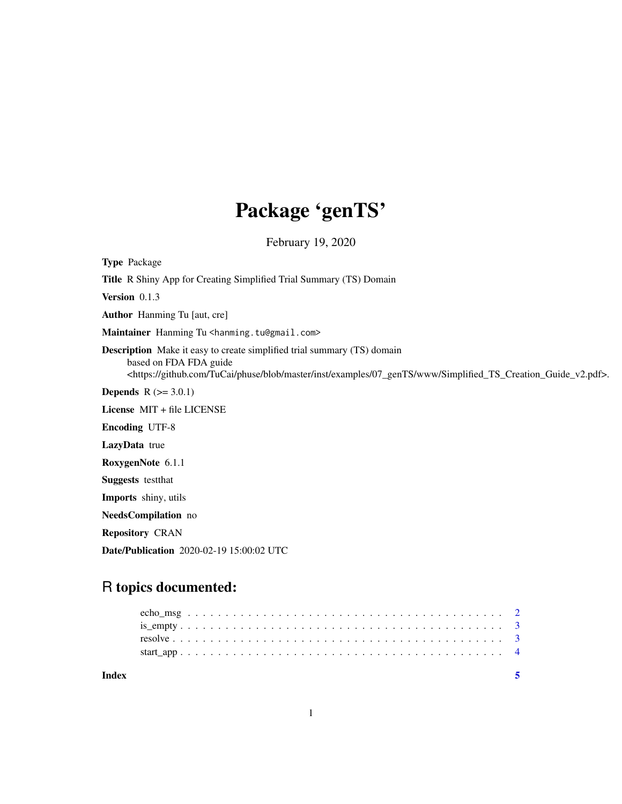## Package 'genTS'

February 19, 2020

Type Package

Title R Shiny App for Creating Simplified Trial Summary (TS) Domain

Version 0.1.3

Author Hanming Tu [aut, cre]

Maintainer Hanming Tu <hanming.tu@gmail.com>

Description Make it easy to create simplified trial summary (TS) domain based on FDA FDA guide <https://github.com/TuCai/phuse/blob/master/inst/examples/07\_genTS/www/Simplified\_TS\_Creation\_Guide\_v2.pdf>.

**Depends**  $R (= 3.0.1)$ 

License MIT + file LICENSE

Encoding UTF-8

LazyData true

RoxygenNote 6.1.1

Suggests testthat

Imports shiny, utils

NeedsCompilation no

Repository CRAN

Date/Publication 2020-02-19 15:00:02 UTC

### R topics documented:

| Index |  |  |  |  |  |  |  |  |  |  |  |  |  |  |  |  |  |  |  |  |  |  |
|-------|--|--|--|--|--|--|--|--|--|--|--|--|--|--|--|--|--|--|--|--|--|--|
|       |  |  |  |  |  |  |  |  |  |  |  |  |  |  |  |  |  |  |  |  |  |  |
|       |  |  |  |  |  |  |  |  |  |  |  |  |  |  |  |  |  |  |  |  |  |  |
|       |  |  |  |  |  |  |  |  |  |  |  |  |  |  |  |  |  |  |  |  |  |  |
|       |  |  |  |  |  |  |  |  |  |  |  |  |  |  |  |  |  |  |  |  |  |  |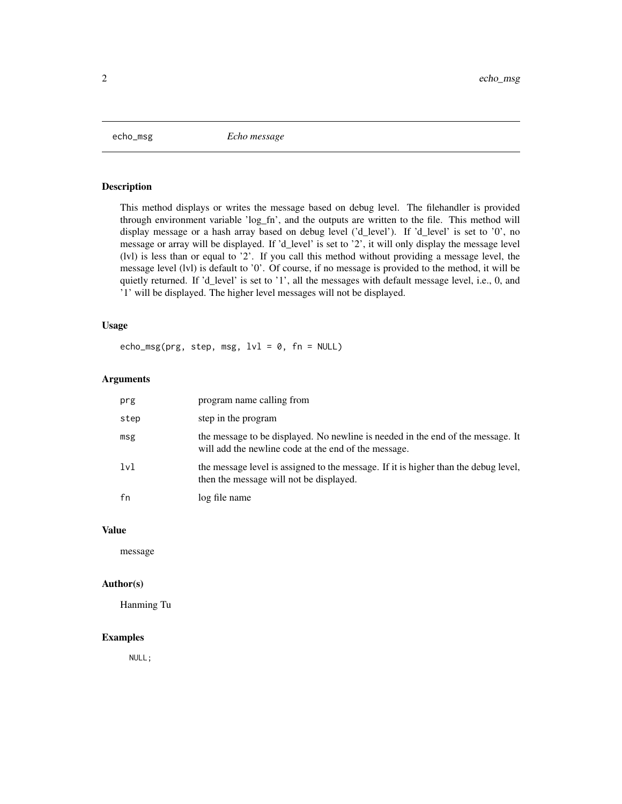<span id="page-1-0"></span>echo\_msg *Echo message*

#### Description

This method displays or writes the message based on debug level. The filehandler is provided through environment variable 'log\_fn', and the outputs are written to the file. This method will display message or a hash array based on debug level ('d\_level'). If 'd\_level' is set to '0', no message or array will be displayed. If 'd\_level' is set to '2', it will only display the message level (lvl) is less than or equal to '2'. If you call this method without providing a message level, the message level (lvl) is default to '0'. Of course, if no message is provided to the method, it will be quietly returned. If 'd\_level' is set to '1', all the messages with default message level, i.e., 0, and '1' will be displayed. The higher level messages will not be displayed.

#### Usage

echo\_msg(prg, step, msg,  $1vl = 0$ , fn = NULL)

#### Arguments

| prg  | program name calling from                                                                                                               |
|------|-----------------------------------------------------------------------------------------------------------------------------------------|
| step | step in the program                                                                                                                     |
| msg  | the message to be displayed. No newline is needed in the end of the message. It<br>will add the newline code at the end of the message. |
| 1v1  | the message level is assigned to the message. If it is higher than the debug level,<br>then the message will not be displayed.          |
| fn   | log file name                                                                                                                           |

#### Value

message

#### Author(s)

Hanming Tu

#### Examples

NULL;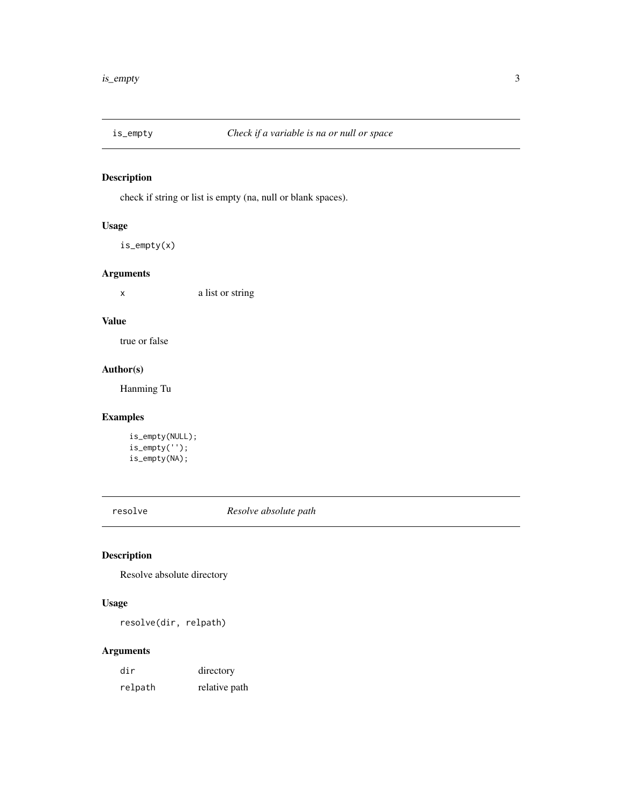<span id="page-2-0"></span>

#### Description

check if string or list is empty (na, null or blank spaces).

#### Usage

is\_empty(x)

#### Arguments

x a list or string

#### Value

true or false

#### Author(s)

Hanming Tu

#### Examples

```
is_empty(NULL);
is_empty('');
is_empty(NA);
```
resolve *Resolve absolute path*

#### Description

Resolve absolute directory

#### Usage

resolve(dir, relpath)

#### Arguments

| dir     | directory     |
|---------|---------------|
| relpath | relative path |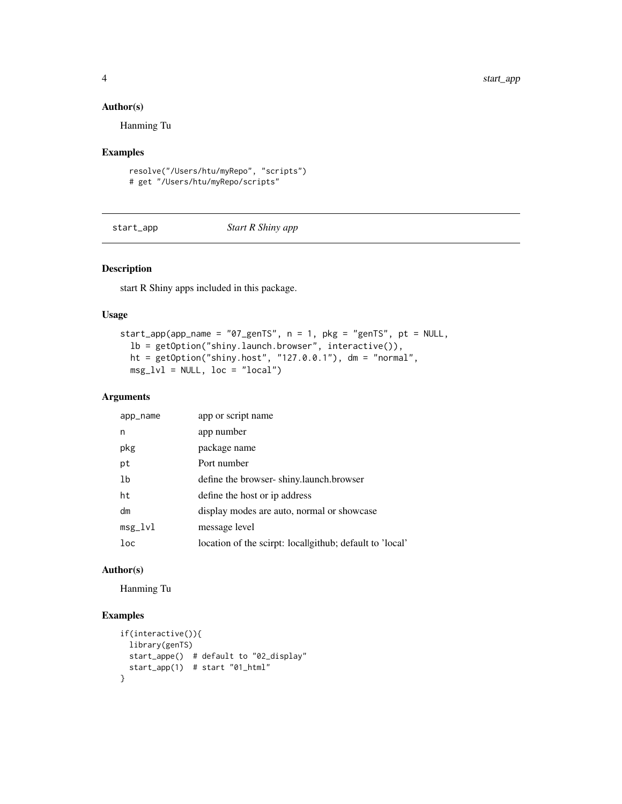#### Author(s)

Hanming Tu

#### Examples

```
resolve("/Users/htu/myRepo", "scripts")
# get "/Users/htu/myRepo/scripts"
```
start\_app *Start R Shiny app*

#### Description

start R Shiny apps included in this package.

#### Usage

```
start_app(app_name = "07_genTS", n = 1, pkg = "genTS", pt = NULL,
 lb = getOption("shiny.launch.browser", interactive()),
 ht = getOption("shiny.host", "127.0.0.1"), dm = "normal",
 msg_lvl = NULL, loc = "local")
```
#### Arguments

| app_name       | app or script name                                       |
|----------------|----------------------------------------------------------|
| n              | app number                                               |
| pkg            | package name                                             |
| pt             | Port number                                              |
| 1 <sub>b</sub> | define the browser-shiny.launch.browser                  |
| ht             | define the host or ip address                            |
| dm             | display modes are auto, normal or showcase               |
| $msg_lvl$      | message level                                            |
| loc            | location of the scirpt: locallgithub; default to 'local' |

#### Author(s)

Hanming Tu

#### Examples

```
if(interactive()){
 library(genTS)
  start_appe() # default to "02_display"
  start_app(1) # start "01_html"
}
```
<span id="page-3-0"></span>